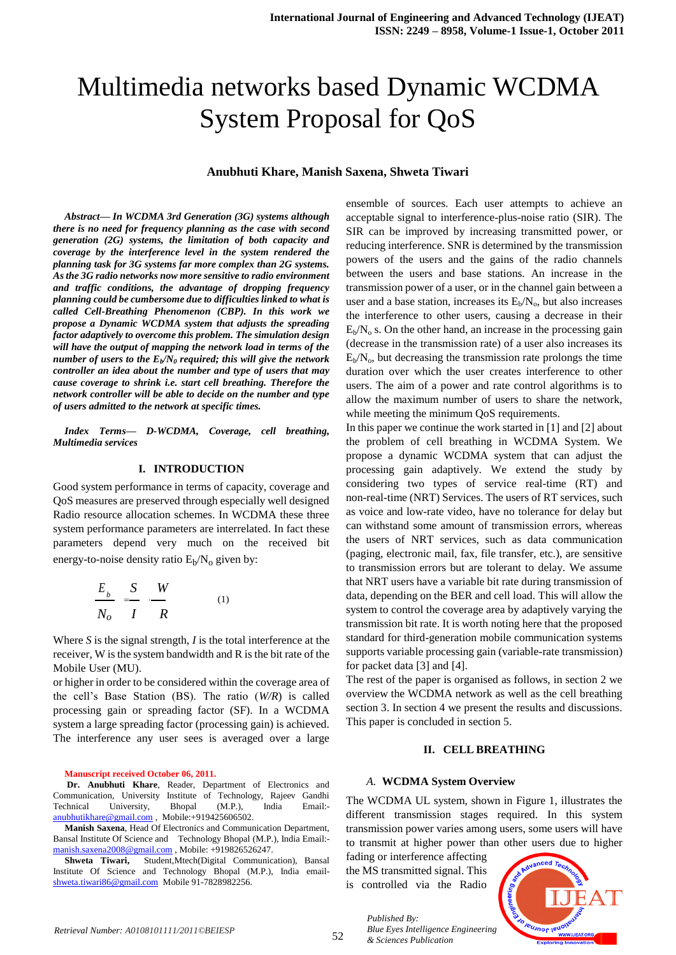# Multimedia networks based Dynamic WCDMA System Proposal for QoS

## **Anubhuti Khare, Manish Saxena, Shweta Tiwari**

*Abstract— In WCDMA 3rd Generation (3G) systems although there is no need for frequency planning as the case with second generation (2G) systems, the limitation of both capacity and coverage by the interference level in the system rendered the planning task for 3G systems far more complex than 2G systems. As the 3G radio networks now more sensitive to radio environment and traffic conditions, the advantage of dropping frequency planning could be cumbersome due to difficulties linked to what is called Cell-Breathing Phenomenon (CBP). In this work we propose a Dynamic WCDMA system that adjusts the spreading factor adaptively to overcome this problem. The simulation design will have the output of mapping the network load in terms of the number of users to the E<sup>b</sup> /N<sup>0</sup> required; this will give the network controller an idea about the number and type of users that may cause coverage to shrink i.e. start cell breathing. Therefore the network controller will be able to decide on the number and type of users admitted to the network at specific times.*

*Index Terms— D-WCDMA, Coverage, cell breathing, Multimedia services*

#### **I. INTRODUCTION**

Good system performance in terms of capacity, coverage and QoS measures are preserved through especially well designed Radio resource allocation schemes. In WCDMA these three system performance parameters are interrelated. In fact these parameters depend very much on the received bit energy-to-noise density ratio  $E_b/N_o$  given by:

$$
\frac{E_b}{N_o} = \frac{S}{I} \frac{W}{R}
$$
 (1)

Where *S* is the signal strength, *I* is the total interference at the receiver, W is the system bandwidth and R is the bit rate of the Mobile User (MU).

or higher in order to be considered within the coverage area of the cell's Base Station (BS). The ratio (*W/R*) is called processing gain or spreading factor (SF). In a WCDMA system a large spreading factor (processing gain) is achieved. The interference any user sees is averaged over a large

**Manuscript received October 06, 2011.** 

**Dr. Anubhuti Khare**, Reader, Department of Electronics and Communication, University Institute of Technology, Rajeev Gandhi Technical University, Bhopal (M.P.), India Email: [anubhutikhare@gmail.com](mailto:anubhutikhare@gmail.com) , Mobile:+919425606502.

**Manish Saxena**, Head Of Electronics and Communication Department, Bansal Institute Of Science and Technology Bhopal (M.P.), India Email: [manish.saxena2008@gmail.com](mailto:manish.saxena2008@gmail.com) , Mobile: +919826526247.

**Shweta Tiwari,** Student,Mtech(Digital Communication), Bansal Institute Of Science and Technology Bhopal (M.P.), India email[shweta.tiwari86@gmail.com](mailto:shweta.tiwari86@gmail.com) Mobile 91-7828982256.

ensemble of sources. Each user attempts to achieve an acceptable signal to interference-plus-noise ratio (SIR). The SIR can be improved by increasing transmitted power, or reducing interference. SNR is determined by the transmission powers of the users and the gains of the radio channels between the users and base stations. An increase in the transmission power of a user, or in the channel gain between a user and a base station, increases its  $E_b/N_o$ , but also increases the interference to other users, causing a decrease in their  $E_b/N_0$  s. On the other hand, an increase in the processing gain (decrease in the transmission rate) of a user also increases its  $E_b/N_o$ , but decreasing the transmission rate prolongs the time duration over which the user creates interference to other users. The aim of a power and rate control algorithms is to allow the maximum number of users to share the network, while meeting the minimum QoS requirements.

In this paper we continue the work started in [1] and [2] about the problem of cell breathing in WCDMA System. We propose a dynamic WCDMA system that can adjust the processing gain adaptively. We extend the study by considering two types of service real-time (RT) and non-real-time (NRT) Services. The users of RT services, such as voice and low-rate video, have no tolerance for delay but can withstand some amount of transmission errors, whereas the users of NRT services, such as data communication (paging, electronic mail, fax, file transfer, etc.), are sensitive to transmission errors but are tolerant to delay. We assume that NRT users have a variable bit rate during transmission of data, depending on the BER and cell load. This will allow the system to control the coverage area by adaptively varying the transmission bit rate. It is worth noting here that the proposed standard for third-generation mobile communication systems supports variable processing gain (variable-rate transmission) for packet data [3] and [4].

The rest of the paper is organised as follows, in section 2 we overview the WCDMA network as well as the cell breathing section 3. In section 4 we present the results and discussions. This paper is concluded in section 5.

## **II. CELL BREATHING**

#### *A.* **WCDMA System Overview**

The WCDMA UL system, shown in Figure 1, illustrates the different transmission stages required. In this system transmission power varies among users, some users will have to transmit at higher power than other users due to higher

fading or interference affecting the MS transmitted signal. This is controlled via the Radio

*& Sciences Publication* 

*Published By:*

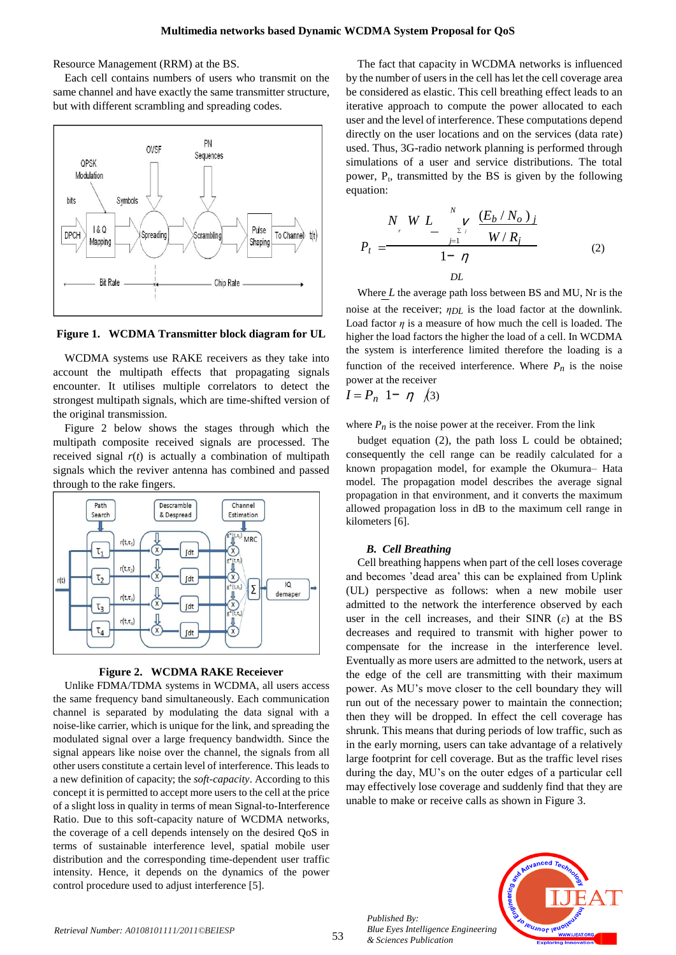Resource Management (RRM) at the BS.

Each cell contains numbers of users who transmit on the same channel and have exactly the same transmitter structure, but with different scrambling and spreading codes.



**Figure 1. WCDMA Transmitter block diagram for UL**

WCDMA systems use RAKE receivers as they take into account the multipath effects that propagating signals encounter. It utilises multiple correlators to detect the strongest multipath signals, which are time-shifted version of the original transmission.

Figure 2 below shows the stages through which the multipath composite received signals are processed. The received signal  $r(t)$  is actually a combination of multipath signals which the reviver antenna has combined and passed through to the rake fingers.





Unlike FDMA/TDMA systems in WCDMA, all users access the same frequency band simultaneously. Each communication channel is separated by modulating the data signal with a noise-like carrier, which is unique for the link, and spreading the modulated signal over a large frequency bandwidth. Since the signal appears like noise over the channel, the signals from all other users constitute a certain level of interference. This leads to a new definition of capacity; the *soft-capacity*. According to this concept it is permitted to accept more users to the cell at the price of a slight loss in quality in terms of mean Signal-to-Interference Ratio. Due to this soft-capacity nature of WCDMA networks, the coverage of a cell depends intensely on the desired QoS in terms of sustainable interference level, spatial mobile user distribution and the corresponding time-dependent user traffic intensity. Hence, it depends on the dynamics of the power control procedure used to adjust interference [5].

The fact that capacity in WCDMA networks is influenced by the number of users in the cell has let the cell coverage area be considered as elastic. This cell breathing effect leads to an iterative approach to compute the power allocated to each user and the level of interference. These computations depend directly on the user locations and on the services (data rate) used. Thus, 3G-radio network planning is performed through simulations of a user and service distributions. The total power,  $P_t$ , transmitted by the BS is given by the following equation:

$$
P_{t} = \frac{N_{,v} W L_{-}}{1 - \eta} \frac{(E_b / N_o)_{j}}{D L}
$$
 (2)

Where *L* the average path loss between BS and MU, Nr is the noise at the receiver; *ηDL* is the load factor at the downlink. Load factor  $\eta$  is a measure of how much the cell is loaded. The higher the load factors the higher the load of a cell. In WCDMA the system is interference limited therefore the loading is a function of the received interference. Where  $P_n$  is the noise power at the receiver

$$
I = P_n \quad 1 - \eta \quad \text{(3)}
$$

where  $P_n$  is the noise power at the receiver. From the link

budget equation (2), the path loss L could be obtained; consequently the cell range can be readily calculated for a known propagation model, for example the Okumura– Hata model. The propagation model describes the average signal propagation in that environment, and it converts the maximum allowed propagation loss in dB to the maximum cell range in kilometers [6].

## *B. Cell Breathing*

Cell breathing happens when part of the cell loses coverage and becomes 'dead area' this can be explained from Uplink (UL) perspective as follows: when a new mobile user admitted to the network the interference observed by each user in the cell increases, and their SINR (*ε*) at the BS decreases and required to transmit with higher power to compensate for the increase in the interference level. Eventually as more users are admitted to the network, users at the edge of the cell are transmitting with their maximum power. As MU's move closer to the cell boundary they will run out of the necessary power to maintain the connection; then they will be dropped. In effect the cell coverage has shrunk. This means that during periods of low traffic, such as in the early morning, users can take advantage of a relatively large footprint for cell coverage. But as the traffic level rises during the day, MU's on the outer edges of a particular cell may effectively lose coverage and suddenly find that they are unable to make or receive calls as shown in Figure 3.



*Published By:*

*& Sciences Publication*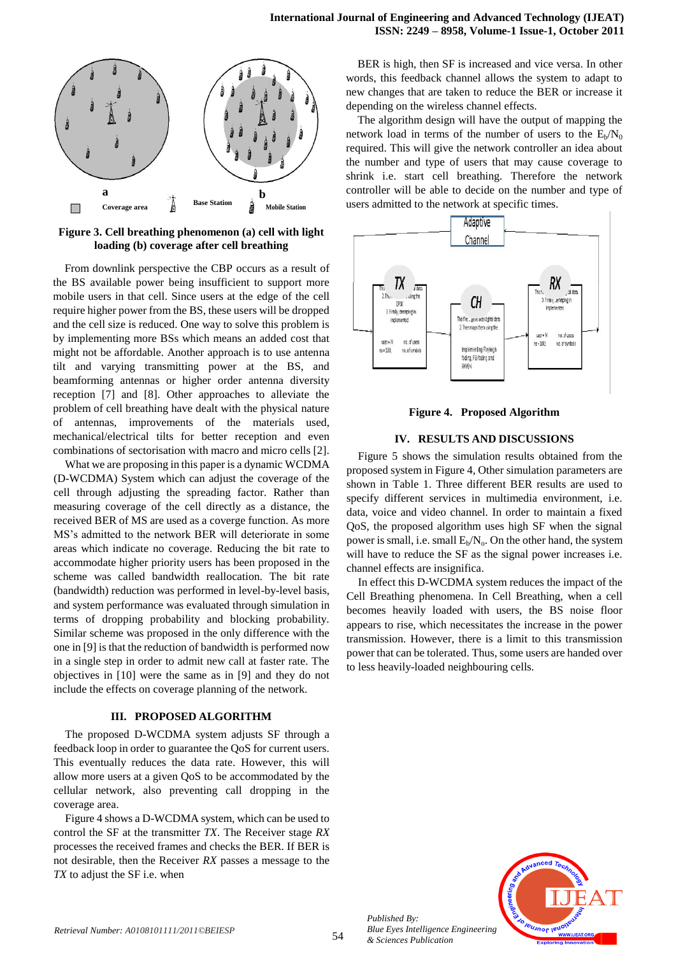

**Figure 3. Cell breathing phenomenon (a) cell with light loading (b) coverage after cell breathing**

From downlink perspective the CBP occurs as a result of the BS available power being insufficient to support more mobile users in that cell. Since users at the edge of the cell require higher power from the BS, these users will be dropped and the cell size is reduced. One way to solve this problem is by implementing more BSs which means an added cost that might not be affordable. Another approach is to use antenna tilt and varying transmitting power at the BS, and beamforming antennas or higher order antenna diversity reception [7] and [8]. Other approaches to alleviate the problem of cell breathing have dealt with the physical nature of antennas, improvements of the materials used, mechanical/electrical tilts for better reception and even combinations of sectorisation with macro and micro cells [2].

What we are proposing in this paper is a dynamic WCDMA (D-WCDMA) System which can adjust the coverage of the cell through adjusting the spreading factor. Rather than measuring coverage of the cell directly as a distance, the received BER of MS are used as a coverge function. As more MS's admitted to the network BER will deteriorate in some areas which indicate no coverage. Reducing the bit rate to accommodate higher priority users has been proposed in the scheme was called bandwidth reallocation. The bit rate (bandwidth) reduction was performed in level-by-level basis, and system performance was evaluated through simulation in terms of dropping probability and blocking probability. Similar scheme was proposed in the only difference with the one in [9] is that the reduction of bandwidth is performed now in a single step in order to admit new call at faster rate. The objectives in [10] were the same as in [9] and they do not include the effects on coverage planning of the network.

## **III. PROPOSED ALGORITHM**

The proposed D-WCDMA system adjusts SF through a feedback loop in order to guarantee the QoS for current users. This eventually reduces the data rate. However, this will allow more users at a given QoS to be accommodated by the cellular network, also preventing call dropping in the coverage area.

Figure 4 shows a D-WCDMA system, which can be used to control the SF at the transmitter *TX*. The Receiver stage *RX* processes the received frames and checks the BER. If BER is not desirable, then the Receiver *RX* passes a message to the *TX* to adjust the SF i.e. when

BER is high, then SF is increased and vice versa. In other words, this feedback channel allows the system to adapt to new changes that are taken to reduce the BER or increase it depending on the wireless channel effects.

The algorithm design will have the output of mapping the network load in terms of the number of users to the  $E_b/N_0$ required. This will give the network controller an idea about the number and type of users that may cause coverage to shrink i.e. start cell breathing. Therefore the network controller will be able to decide on the number and type of users admitted to the network at specific times.



**Figure 4. Proposed Algorithm**

## **IV. RESULTS AND DISCUSSIONS**

Figure 5 shows the simulation results obtained from the proposed system in Figure 4, Other simulation parameters are shown in Table 1. Three different BER results are used to specify different services in multimedia environment, i.e. data, voice and video channel. In order to maintain a fixed QoS, the proposed algorithm uses high SF when the signal power is small, i.e. small  $E_b/N_o$ . On the other hand, the system will have to reduce the SF as the signal power increases i.e. channel effects are insignifica.

In effect this D-WCDMA system reduces the impact of the Cell Breathing phenomena. In Cell Breathing, when a cell becomes heavily loaded with users, the BS noise floor appears to rise, which necessitates the increase in the power transmission. However, there is a limit to this transmission power that can be tolerated. Thus, some users are handed over to less heavily-loaded neighbouring cells.



*Published By: Blue Eyes Intelligence Engineering & Sciences Publication*